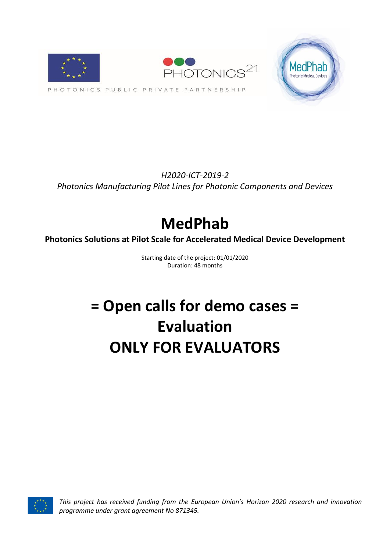

*H2020-ICT-2019-2 Photonics Manufacturing Pilot Lines for Photonic Components and Devices*

# **MedPhab**

**Photonics Solutions at Pilot Scale for Accelerated Medical Device Development**

Starting date of the project: 01/01/2020 Duration: 48 months

# **= Open calls for demo cases = Evaluation ONLY FOR EVALUATORS**



*This project has received funding from the European Union's Horizon 2020 research and innovation programme under grant agreement No 871345.*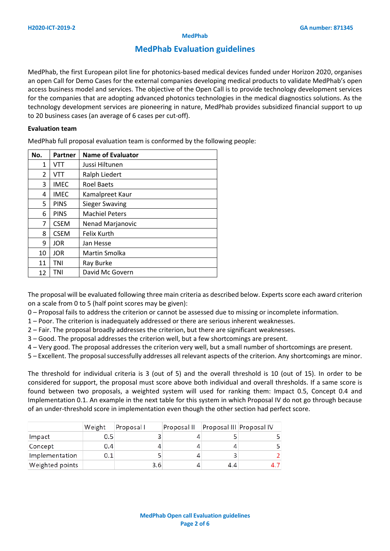#### **MedPhab**

## **MedPhab Evaluation guidelines**

MedPhab, the first European pilot line for photonics-based medical devices funded under Horizon 2020, organises an open Call for Demo Cases for the external companies developing medical products to validate MedPhab's open access business model and services. The objective of the Open Call is to provide technology development services for the companies that are adopting advanced photonics technologies in the medical diagnostics solutions. As the technology development services are pioneering in nature, MedPhab provides subsidized financial support to up to 20 business cases (an average of 6 cases per cut-off).

#### **Evaluation team**

MedPhab full proposal evaluation team is conformed by the following people:

| No.            | Partner     | <b>Name of Evaluator</b> |  |  |  |
|----------------|-------------|--------------------------|--|--|--|
| 1              | VTT         | Jussi Hiltunen           |  |  |  |
| $\overline{2}$ | VTT         | Ralph Liedert            |  |  |  |
| 3              | <b>IMEC</b> | <b>Roel Baets</b>        |  |  |  |
| 4              | <b>IMEC</b> | Kamalpreet Kaur          |  |  |  |
| 5              | <b>PINS</b> | <b>Sieger Swaving</b>    |  |  |  |
| 6              | <b>PINS</b> | <b>Machiel Peters</b>    |  |  |  |
| 7              | <b>CSEM</b> | Nenad Marjanovic         |  |  |  |
| 8              | <b>CSEM</b> | <b>Felix Kurth</b>       |  |  |  |
| 9              | <b>JOR</b>  | Jan Hesse                |  |  |  |
| 10             | <b>JOR</b>  | Martin Smolka            |  |  |  |
| 11             | TNI         | Ray Burke                |  |  |  |
| 12             | TNI         | David Mc Govern          |  |  |  |

The proposal will be evaluated following three main criteria as described below. Experts score each award criterion on a scale from 0 to 5 (half point scores may be given):

- 0 Proposal fails to address the criterion or cannot be assessed due to missing or incomplete information.
- 1 Poor. The criterion is inadequately addressed or there are serious inherent weaknesses.
- 2 Fair. The proposal broadly addresses the criterion, but there are significant weaknesses.
- 3 Good. The proposal addresses the criterion well, but a few shortcomings are present.
- 4 Very good. The proposal addresses the criterion very well, but a small number of shortcomings are present.
- 5 Excellent. The proposal successfully addresses all relevant aspects of the criterion. Any shortcomings are minor.

The threshold for individual criteria is 3 (out of 5) and the overall threshold is 10 (out of 15). In order to be considered for support, the proposal must score above both individual and overall thresholds. If a same score is found between two proposals, a weighted system will used for ranking them: Impact 0.5, Concept 0.4 and Implementation 0.1. An example in the next table for this system in which Proposal IV do not go through because of an under-threshold score in implementation even though the other section had perfect score.

|                 | Weight | Proposal I | Proposal II | Proposal III Proposal IV |  |
|-----------------|--------|------------|-------------|--------------------------|--|
| Impact          | 0.5    |            |             |                          |  |
| Concept         | 0.4    |            |             |                          |  |
| Implementation  | 0.1    |            |             |                          |  |
| Weighted points |        | 3.6        |             | 4.4                      |  |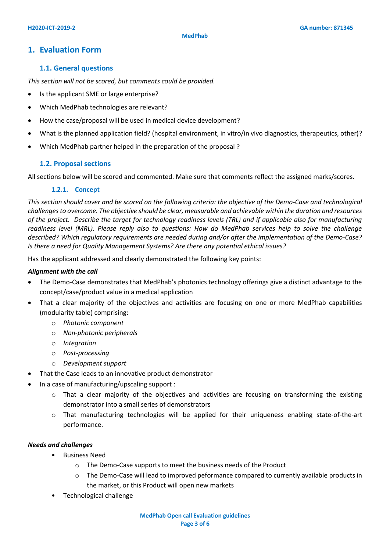## **1. Evaluation Form**

### **1.1. General questions**

*This section will not be scored, but comments could be provided.*

- Is the applicant SME or large enterprise?
- Which MedPhab technologies are relevant?
- How the case/proposal will be used in medical device development?
- What is the planned application field? (hospital environment, in vitro/in vivo diagnostics, therapeutics, other)?
- Which MedPhab partner helped in the preparation of the proposal ?

### **1.2. Proposal sections**

All sections below will be scored and commented. Make sure that comments reflect the assigned marks/scores.

#### **1.2.1. Concept**

*This section should cover and be scored on the following criteria: the objective of the Demo-Case and technological challenges to overcome. The objective should be clear, measurable and achievable within the duration and resources of the project. Describe the target for technology readiness levels (TRL) and if applicable also for manufacturing readiness level (MRL). Please reply also to questions: How do MedPhab services help to solve the challenge described? Which regulatory requirements are needed during and/or after the implementation of the Demo-Case? Is there a need for Quality Management Systems? Are there any potential ethical issues?*

Has the applicant addressed and clearly demonstrated the following key points:

#### *Alignment with the call*

- The Demo-Case demonstrates that MedPhab's photonics technology offerings give a distinct advantage to the concept/case/product value in a medical application
- That a clear majority of the objectives and activities are focusing on one or more MedPhab capabilities (modularity table) comprising:
	- o *Photonic component*
	- o *Non-photonic peripherals*
	- o *Integration*
	- o *Post-processing*
	- o *Development support*
- That the Case leads to an innovative product demonstrator
- In a case of manufacturing/upscaling support :
	- o That a clear majority of the objectives and activities are focusing on transforming the existing demonstrator into a small series of demonstrators
	- o That manufacturing technologies will be applied for their uniqueness enabling state-of-the-art performance.

#### *Needs and challenges*

- Business Need
	- o The Demo-Case supports to meet the business needs of the Product
	- o The Demo-Case will lead to improved peformance compared to currently available products in the market, or this Product will open new markets
- Technological challenge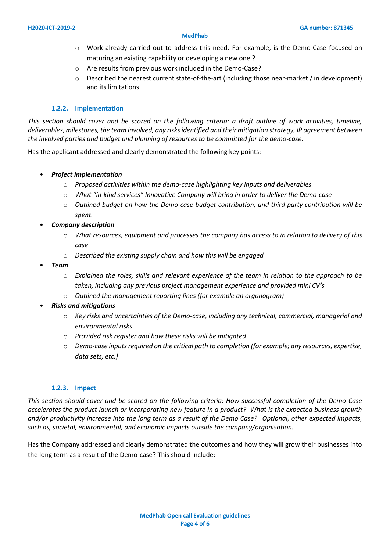#### **MedPhab**

- o Work already carried out to address this need. For example, is the Demo-Case focused on maturing an existing capability or developing a new one ?
- o Are results from previous work included in the Demo-Case?
- $\circ$  Described the nearest current state-of-the-art (including those near-market / in development) and its limitations

#### **1.2.2. Implementation**

*This section should cover and be scored on the following criteria: a draft outline of work activities, timeline, deliverables, milestones, the team involved, any risks identified and their mitigation strategy, IP agreement between the involved parties and budget and planning of resources to be committed for the demo-case.* 

Has the applicant addressed and clearly demonstrated the following key points:

#### • *Project implementation*

- o *Proposed activities within the demo-case highlighting key inputs and deliverables*
- o *What "in-kind services" Innovative Company will bring in order to deliver the Demo-case*
- o *Outlined budget on how the Demo-case budget contribution, and third party contribution will be spent.*
- *Company description*
	- o *What resources, equipment and processes the company has access to in relation to delivery of this case*
	- o *Described the existing supply chain and how this will be engaged*
- *Team*
	- o *Explained the roles, skills and relevant experience of the team in relation to the approach to be taken, including any previous project management experience and provided mini CV's*
	- o *Outlined the management reporting lines (for example an organogram)*
- *Risks and mitigations*
	- o *Key risks and uncertainties of the Demo-case, including any technical, commercial, managerial and environmental risks*
	- o *Provided risk register and how these risks will be mitigated*
	- o *Demo-case inputs required on the critical path to completion (for example; any resources, expertise, data sets, etc.)*

#### **1.2.3. Impact**

*This section should cover and be scored on the following criteria: How successful completion of the Demo Case accelerates the product launch or incorporating new feature in a product? What is the expected business growth and/or productivity increase into the long term as a result of the Demo Case? Optional, other expected impacts, such as, societal, environmental, and economic impacts outside the company/organisation.* 

Has the Company addressed and clearly demonstrated the outcomes and how they will grow their businesses into the long term as a result of the Demo-case? This should include: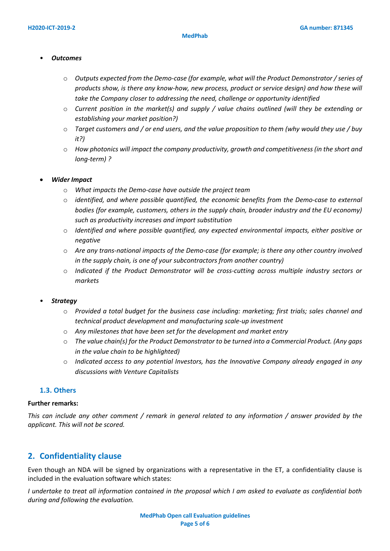#### • *Outcomes*

- o *Outputs expected from the Demo-case (for example, what will the Product Demonstrator / series of products show, is there any know-how, new process, product or service design) and how these will take the Company closer to addressing the need, challenge or opportunity identified*
- o *Current position in the market(s) and supply / value chains outlined (will they be extending or establishing your market position?)*
- o *Target customers and / or end users, and the value proposition to them (why would they use / buy it?)*
- o *How photonics will impact the company productivity, growth and competitiveness (in the short and long-term) ?*

### • *Wider Impact*

- o *What impacts the Demo-case have outside the project team*
- o *identified, and where possible quantified, the economic benefits from the Demo-case to external bodies (for example, customers, others in the supply chain, broader industry and the EU economy) such as productivity increases and import substitution*
- o *Identified and where possible quantified, any expected environmental impacts, either positive or negative*
- o *Are any trans-national impacts of the Demo-case (for example; is there any other country involved in the supply chain, is one of your subcontractors from another country)*
- o *Indicated if the Product Demonstrator will be cross-cutting across multiple industry sectors or markets*

#### • *Strategy*

- o *Provided a total budget for the business case including: marketing; first trials; sales channel and technical product development and manufacturing scale-up investment*
- o *Any milestones that have been set for the development and market entry*
- o *The value chain(s) for the Product Demonstrator to be turned into a Commercial Product. (Any gaps in the value chain to be highlighted)*
- o *Indicated access to any potential Investors, has the Innovative Company already engaged in any discussions with Venture Capitalists*

### **1.3. Others**

#### **Further remarks:**

*This can include any other comment / remark in general related to any information / answer provided by the applicant. This will not be scored.*

## **2. Confidentiality clause**

Even though an NDA will be signed by organizations with a representative in the ET, a confidentiality clause is included in the evaluation software which states:

*I undertake to treat all information contained in the proposal which I am asked to evaluate as confidential both during and following the evaluation.*